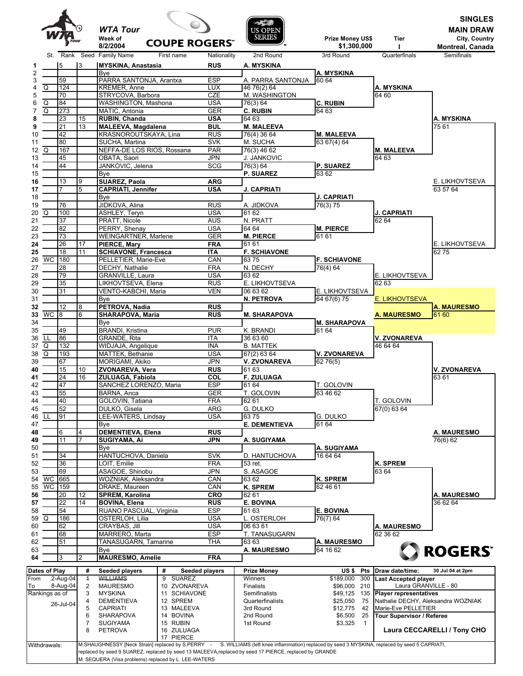|                                                |                 |                     | <b>WTA Tour</b><br>Week of<br><b>COUPE ROGERS"</b> |                          | <b>US OPEN</b><br><b>SERIES</b>   | Prize Money US\$                 | Tier                                                  | <b>SINGLES</b><br><b>MAIN DRAW</b><br>City, Country |
|------------------------------------------------|-----------------|---------------------|----------------------------------------------------|--------------------------|-----------------------------------|----------------------------------|-------------------------------------------------------|-----------------------------------------------------|
|                                                |                 |                     | 8/2/2004                                           |                          |                                   | \$1,300,000                      |                                                       | <b>Montreal, Canada</b>                             |
| St.                                            | Rank            |                     | Seed Family Name<br>First name                     | Nationality              | 2nd Round                         | 3rd Round                        | Quarterfinals                                         | Semifinals                                          |
|                                                | 5               | 3                   | <b>MYSKINA, Anastasia</b>                          | <b>RUS</b>               | A. MYSKINA                        |                                  |                                                       |                                                     |
|                                                | 59              |                     | <b>B</b> ve<br>PARRA SANTONJA, Arantxa             | <b>ESP</b>               | A. PARRA SANTONJA                 | A. MYSKINA<br>60 64              |                                                       |                                                     |
| $\overline{Q}$                                 | 124             |                     | <b>KREMER, Anne</b>                                | <b>LUX</b>               | $\overline{46}$ 76(2) 64          |                                  | A. MYSKINA                                            |                                                     |
|                                                | $\overline{70}$ |                     | STRYCOVA, Barbora                                  | CZE                      | M. WASHINGTON                     |                                  | 64 60                                                 |                                                     |
| Q                                              | 84              |                     | <b>WASHINGTON, Mashona</b>                         | USA                      | 76(3) 64                          | <b>C. RUBIN</b>                  |                                                       |                                                     |
| $\overline{Q}$                                 | 273             |                     | MATIC, Antonia                                     | <b>GER</b>               | <b>C. RUBIN</b>                   | 64 63                            |                                                       |                                                     |
|                                                | 23              | 15                  | RUBIN, Chanda                                      | <b>USA</b>               | 64 63                             |                                  |                                                       | A. MYSKINA                                          |
|                                                | $\overline{21}$ | 13                  | <b>MALEEVA, Magdalena</b>                          | BUL                      | <b>M. MALEEVA</b>                 |                                  |                                                       | 7561                                                |
|                                                | 42<br>80        |                     | KRASNOROUTSKAYA, Lina<br>SUCHA, Martina            | <b>RUS</b><br><b>SVK</b> | 76(4) 36 64                       | <b>M. MALEEVA</b><br>63 67(4) 64 |                                                       |                                                     |
| Q                                              | 167             |                     | NEFFA-DE LOS RIOS, Rossana                         | <b>PAR</b>               | M. SUCHA<br>76(3) 46 62           |                                  | <b>M. MALEEVA</b>                                     |                                                     |
|                                                | 45              |                     | OBATA, Saori                                       | JPN                      | <b>J. JANKOVIC</b>                |                                  | 64 63                                                 |                                                     |
|                                                | 44              |                     | JANKOVIC, Jelena                                   | <b>SCG</b>               | 76(3) 64                          | <b>P. SUAREZ</b>                 |                                                       |                                                     |
|                                                |                 |                     | Bye                                                |                          | <b>P. SUAREZ</b>                  | 63 62                            |                                                       |                                                     |
|                                                | 13              | 9                   | <b>SUAREZ, Paola</b>                               | <b>ARG</b>               |                                   |                                  |                                                       | E. LIKHOVTSEVA                                      |
|                                                |                 | 5                   | <b>CAPRIATI, Jennifer</b>                          | <b>USA</b>               | J. CAPRIATI                       |                                  |                                                       | 63 57 64                                            |
|                                                |                 |                     | Bye                                                |                          |                                   | <b>J. CAPRIATI</b>               |                                                       |                                                     |
|                                                | 76              |                     | JIDKOVA, Alina                                     | <b>RUS</b>               | a. Jidkova                        | 76(3) 75                         |                                                       |                                                     |
| Q                                              | 100             |                     | ASHLEY, Teryn                                      | <b>USA</b>               | 61 62                             |                                  | <b>J. CAPRIATI</b>                                    |                                                     |
|                                                | $\overline{37}$ |                     | PRATT, Nicole                                      | <b>AUS</b>               | N. PRATT                          |                                  | 62 64                                                 |                                                     |
|                                                | 82              |                     | PERRY, Shenay                                      | <b>USA</b>               | 64 64                             | <b>M. PIERCE</b>                 |                                                       |                                                     |
|                                                | $\overline{73}$ |                     | <b>WEINGARTNER, Marlene</b>                        | <b>GER</b>               | <b>M. PIERCE</b>                  | 61 61                            |                                                       |                                                     |
|                                                | 26              | 17                  | PIERCE, Mary                                       | <b>FRA</b>               | 61 61                             |                                  |                                                       | E. LIKHOVTSEVA                                      |
|                                                | 18              | 11                  | <b>SCHIAVONE, Francesca</b>                        | <b>ITA</b>               | <b>F. SCHIAVONE</b>               |                                  |                                                       | 6275                                                |
| <b>WC</b>                                      | 180             |                     | PELLETIER, Marie-Eve                               | CAN                      | 6375                              | <b>F. SCHIAVONE</b>              |                                                       |                                                     |
|                                                | 28<br>79        |                     | DECHY, Nathalie<br>GRANVILLE, Laura                | <b>FRA</b><br><b>USA</b> | N. DECHY<br>63 62                 | 76(4) 64                         | E. LIKHOVTSEVA                                        |                                                     |
|                                                | 35              |                     | LIKHOVTSEVA, Elena                                 | <b>RUS</b>               | E. LIKHOVTSEVA                    |                                  | 62 63                                                 |                                                     |
|                                                | 31              |                     | VENTO-KABCHI, Maria                                | <b>VEN</b>               | 06 63 62                          | E. LIKHOVTSEVA                   |                                                       |                                                     |
|                                                |                 |                     | Bye                                                |                          | <b>N. PETROVA</b>                 | 64 67(6) 75                      | E. LIKHOVTSEVA                                        |                                                     |
|                                                | 12              | 8                   | PETROVA, Nadia                                     | <b>RUS</b>               |                                   |                                  |                                                       | <b>A. MAURESMO</b>                                  |
| WC <sub>8</sub>                                |                 | 6                   | SHARAPOVA, Maria                                   | <b>RUS</b>               | <b>M. SHARAPOVA</b>               |                                  | <b>A. MAURESMO</b>                                    | 61 60                                               |
|                                                |                 |                     | Bye                                                |                          |                                   | <b>M. SHARAPOVA</b>              |                                                       |                                                     |
|                                                | 49              |                     | <b>BRANDI</b> , Kristina                           | <b>PUR</b>               | K. BRANDI                         | 61 64                            |                                                       |                                                     |
| LL                                             | 86              |                     | GRANDE, Rita                                       | <b>ITA</b>               | 36 63 60                          |                                  | V. ZVONAREVA                                          |                                                     |
| Q                                              | 132             |                     | WIDJAJA, Angelique                                 | <b>INA</b>               | <b>B. MATTEK</b>                  |                                  | 46 64 64                                              |                                                     |
| $\overline{Q}$                                 | 193             |                     | MATTEK, Bethanie                                   | <b>USA</b>               | 67(2) 63 64                       | V. ZVONAREVA                     |                                                       |                                                     |
|                                                | 67              |                     | MORIGAMI, Akiko                                    | JPN                      | <b>V. ZVONAREVA</b>               | 6276(5)                          |                                                       |                                                     |
|                                                | 15              | 10                  | <b>ZVONAREVA, Vera</b>                             | <b>RUS</b>               | 61 63                             |                                  |                                                       | V. ZVONAREVA                                        |
|                                                | 24              | 16                  | ZULUAGA, Fabiola                                   | COL                      | <b>F. ZULUAGA</b>                 |                                  |                                                       | 6361                                                |
|                                                | 47              |                     | SANCHEZ LORENZO, Maria                             | <b>ESP</b>               | 61 64                             | <b>T. GOLOVIN</b><br>63 46 62    |                                                       |                                                     |
|                                                | 55<br>40        |                     | BARNA, Anca<br>GOLOVIN, Tatiana                    | GER<br><b>FRA</b>        | T. GOLOVIN<br>62 61               |                                  | t. Golovin                                            |                                                     |
|                                                | 52              |                     | DULKO, Gisela                                      | ARG                      | G. DULKO                          |                                  | 67(0) 63 64                                           |                                                     |
| LL                                             | 91              |                     | LEE-WATERS, Lindsay                                | USA                      | 6375                              | G. DULKO                         |                                                       |                                                     |
|                                                |                 |                     | Bye                                                |                          | <b>E. DEMENTIEVA</b>              | 61 64                            |                                                       |                                                     |
|                                                | 6               | 4                   | <b>DEMENTIEVA, Elena</b>                           | <b>RUS</b>               |                                   |                                  |                                                       | <b>A. MAURESMO</b>                                  |
|                                                | 11              | 7                   | SUGIYAMA, Ai                                       | <b>JPN</b>               | A. SUGIYAMA                       |                                  |                                                       | 76(6) 62                                            |
|                                                |                 |                     | Bye                                                |                          |                                   | A. SUGIYAMA                      |                                                       |                                                     |
|                                                | 34              |                     | HANTUCHOVA, Daniela                                | <b>SVK</b>               | D. HANTUCHOVA                     | 16 64 64                         |                                                       |                                                     |
|                                                | 36              |                     | .OIT, Emilie                                       | <b>FRA</b>               | 53 ret.                           |                                  | K. SPREM                                              |                                                     |
|                                                | 69              |                     | ASAGOE, Shinobu                                    | <b>JPN</b>               | S. ASAGOE                         |                                  | 63 64                                                 |                                                     |
| <b>WC</b>                                      | 665             |                     | WOZNIAK, Aleksandra                                | CAN                      | 63 62                             | <b>K. SPREM</b>                  |                                                       |                                                     |
| WC 159                                         |                 |                     | DRAKE, Maureen                                     | CAN                      | <b>K. SPREM</b>                   | 62 46 61                         |                                                       |                                                     |
|                                                | 20              | 12                  | <b>SPREM, Karolina</b>                             | <b>CRO</b>               | 62 61                             |                                  |                                                       | <b>A. MAURESMO</b>                                  |
|                                                | 22              | 14                  | <b>BOVINA, Elena</b>                               | <b>RUS</b>               | <b>E. BOVINA</b>                  |                                  |                                                       | 36 62 64                                            |
| $\overline{Q}$                                 | 54<br>186       |                     | RUANO PASCUAL, Virginia                            | ESP<br><b>USA</b>        | 61 63                             | <b>E. BOVINA</b><br>76(7) 64     |                                                       |                                                     |
|                                                | 62              |                     | OSTERLOH, Lilia<br>CRAYBAS, Jill                   | <b>USA</b>               | L. OSTERLOH<br>06 63 61           |                                  | A. MAURESMO                                           |                                                     |
|                                                | 68              |                     | MARRERO, Marta                                     | <b>ESP</b>               | T. TANASUGARN                     |                                  | 62 36 62                                              |                                                     |
|                                                | 51              |                     | TANASUGARN, Tamarine                               | THA                      | 63 63                             | A. MAURESMO                      |                                                       |                                                     |
|                                                |                 |                     | Bye                                                |                          | <b>A. MAURESMO</b>                | 64 16 62                         |                                                       | <b>ROGERS®</b>                                      |
|                                                | 3               | 2                   | <b>MAURESMO, Amelie</b>                            | <b>FRA</b>               |                                   |                                  |                                                       |                                                     |
|                                                |                 |                     |                                                    |                          |                                   |                                  |                                                       |                                                     |
| <b>Dates of Play</b>                           |                 | #                   | #<br>Seeded players                                | <b>Seeded players</b>    | <b>Prize Money</b>                | US \$<br><b>Pts</b>              | Draw date/time:                                       | 30 Jul 04 at 2pm                                    |
| 2-Aug-04<br>From<br>8-Aug-04<br>Rankings as of |                 | $\overline{1}$      | <b>WILLIAMS</b><br>9<br><b>SUAREZ</b>              |                          | Winners                           | \$189,000<br>300                 | <b>Last Accepted player</b>                           |                                                     |
|                                                |                 | $\overline{c}$<br>3 | <b>MAURESMO</b><br>10 ZVONAREVA<br>11 SCHIAVONE    |                          | <b>Finalists</b><br>Semifinalists | \$96,000 210<br>\$49,125<br>135  | Laura GRANVILLE - 80<br><b>Player representatives</b> |                                                     |
|                                                |                 | 4                   | <b>MYSKINA</b><br><b>DEMENTIEVA</b><br>12 SPREM    |                          | Quarterfinalists                  | \$25,050<br>75                   | Nathalie DECHY, Aleksandra WOZNIAK                    |                                                     |
|                                                | 26-Jul-04       |                     |                                                    |                          | 3rd Round                         | \$12,775<br>42                   | Marie-Eve PELLETIER                                   |                                                     |
|                                                |                 | 5                   | <b>CAPRIATI</b>                                    |                          |                                   |                                  |                                                       |                                                     |
|                                                |                 | 6                   | 13 MALEEVA<br>SHARAPOVA<br>14 BOVINA               |                          | 2nd Round                         | \$6,500<br>25                    | Tour Supervisor / Referee                             |                                                     |
|                                                |                 | 7                   | 15 RUBIN<br><b>SUGIYAMA</b><br>16 ZULUAGA          |                          | 1st Round                         | \$3,325<br>$\overline{1}$        |                                                       | Laura CECCARELLI / Tony CHO                         |

M. SEQUERA (Visa problems) replaced by L. LEE-WATERS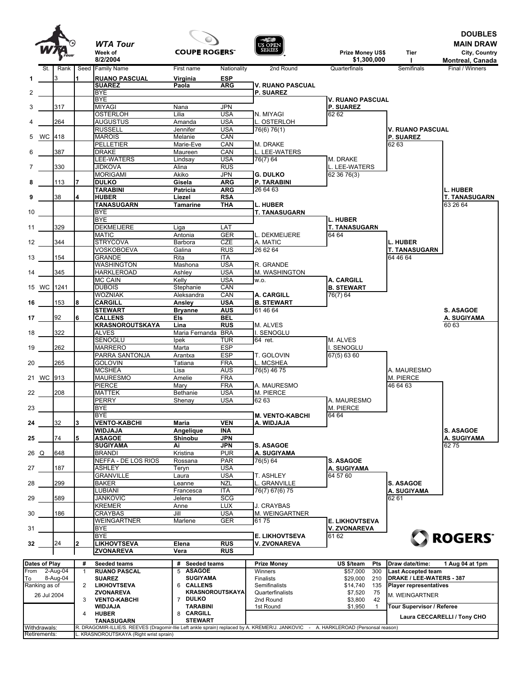



**DOUBLES**

| St.<br>Rank<br>3<br>317<br>264<br>5 WC 418<br>387<br>330<br>113<br>38 | 1            | 8/2/2004<br>Seed Family Name<br><b>RUANO PASCUAL</b><br><b>SUAREZ</b><br><b>BYE</b><br><b>BYE</b><br><b>MIYAGI</b><br><b>OSTERLOH</b> | First name<br>Virginia<br>Paola       | Nationality<br><b>ESP</b><br><b>ARG</b> | 2nd Round<br><b>V. RUANO PASCUAL</b> | \$1,300,000<br>Quarterfinals                | $\mathbf{I}$<br>Semifinals                            | Montreal, Canada<br>Final / Winners |
|-----------------------------------------------------------------------|--------------|---------------------------------------------------------------------------------------------------------------------------------------|---------------------------------------|-----------------------------------------|--------------------------------------|---------------------------------------------|-------------------------------------------------------|-------------------------------------|
|                                                                       |              |                                                                                                                                       |                                       |                                         |                                      |                                             |                                                       |                                     |
|                                                                       |              |                                                                                                                                       |                                       |                                         |                                      |                                             |                                                       |                                     |
|                                                                       |              |                                                                                                                                       |                                       |                                         |                                      |                                             |                                                       |                                     |
|                                                                       |              |                                                                                                                                       |                                       |                                         | <b>P. SUAREZ</b>                     |                                             |                                                       |                                     |
|                                                                       |              |                                                                                                                                       | Nana                                  | <b>JPN</b>                              |                                      | <b>V. RUANO PASCUAL</b><br><b>P. SUAREZ</b> |                                                       |                                     |
|                                                                       |              |                                                                                                                                       | Lilia                                 | <b>USA</b>                              | N. MIYAGI                            | 62 62                                       |                                                       |                                     |
|                                                                       |              | <b>AUGUSTUS</b>                                                                                                                       | Amanda                                | <b>USA</b>                              | L. OSTERLOH                          |                                             |                                                       |                                     |
|                                                                       |              | <b>RUSSELL</b>                                                                                                                        | Jennifer                              | <b>USA</b>                              | 76(6) 76(1)                          |                                             | V. RUANO PASCUAL                                      |                                     |
|                                                                       |              | <b>MAROIS</b>                                                                                                                         | Melanie                               | CAN                                     |                                      |                                             | <b>P. SUAREZ</b>                                      |                                     |
|                                                                       |              | <b>PELLETIER</b>                                                                                                                      | Marie-Eve                             | CAN                                     | M. DRAKE                             |                                             | 62 63                                                 |                                     |
|                                                                       |              | <b>DRAKE</b>                                                                                                                          | Maureen                               | CAN<br><b>USA</b>                       | L. LEE-WATERS                        |                                             |                                                       |                                     |
|                                                                       |              | LEE-WATERS<br><b>JIDKOVA</b>                                                                                                          | Lindsay<br>Alina                      | <b>RUS</b>                              | 76(7) 64                             | M. DRAKE<br>L. LEE-WATERS                   |                                                       |                                     |
|                                                                       |              | <b>MORIGAMI</b>                                                                                                                       | Akiko                                 | <b>JPN</b>                              | <b>G. DULKO</b>                      | 62 36 76(3)                                 |                                                       |                                     |
|                                                                       |              | <b>DULKO</b>                                                                                                                          | Gisela                                | <b>ARG</b>                              | P. TARABINI                          |                                             |                                                       |                                     |
|                                                                       |              | <b>TARABINI</b>                                                                                                                       | Patricia                              | ARG                                     | 26 64 63                             |                                             |                                                       | <b>L. HUBER</b>                     |
|                                                                       |              | <b>HUBER</b>                                                                                                                          | Liezel                                | <b>RSA</b>                              |                                      |                                             |                                                       | <b>T. TANASUGARN</b>                |
|                                                                       |              | <b>TANASUGARN</b>                                                                                                                     | <b>Tamarine</b>                       | <b>THA</b>                              | L. HUBER                             |                                             |                                                       | 63 26 64                            |
|                                                                       |              | <b>BYE</b>                                                                                                                            |                                       |                                         | <b>T. TANASUGARN</b>                 |                                             |                                                       |                                     |
| 329                                                                   |              | <b>BYE</b><br><b>DEKMEIJERE</b>                                                                                                       | Liga                                  | LAT                                     |                                      | <b>L. HUBER</b><br><b>T. TANASUGARN</b>     |                                                       |                                     |
|                                                                       |              | <b>MATIC</b>                                                                                                                          | Antonia                               | <b>GER</b>                              | L. DEKMEIJERE                        | 64 64                                       |                                                       |                                     |
| 344                                                                   |              | <b>STRYCOVA</b>                                                                                                                       | Barbora                               | <b>CZE</b>                              | A. MATIC                             |                                             | <b>L. HUBER</b>                                       |                                     |
|                                                                       |              | VOSKOBOEVA                                                                                                                            | Galina                                | <b>RUS</b>                              | 26 62 64                             |                                             | <b>T. TANASUGARN</b>                                  |                                     |
| 154                                                                   |              | <b>GRANDE</b>                                                                                                                         | Rita                                  | ITA                                     |                                      |                                             | 64 46 64                                              |                                     |
|                                                                       |              | WASHINGTON                                                                                                                            | Mashona                               | <b>USA</b>                              | R. GRANDE                            |                                             |                                                       |                                     |
| 345                                                                   |              | <b>HARKLEROAD</b>                                                                                                                     | Ashlev                                | <b>USA</b>                              | M. WASHINGTON                        |                                             |                                                       |                                     |
| 15 WC 1241                                                            |              | <b>MC CAIN</b><br><b>DUBOIS</b>                                                                                                       | Kelly<br>Stephanie                    | <b>USA</b><br>CAN                       | W.O.                                 | A. CARGILL<br><b>B. STEWART</b>             |                                                       |                                     |
|                                                                       |              | <b>WOZNIAK</b>                                                                                                                        | Aleksandra                            | CAN                                     | A. CARGILL                           | 76(7) 64                                    |                                                       |                                     |
| 153                                                                   |              | <b>CARGILL</b>                                                                                                                        | Ansley                                | <b>USA</b>                              | <b>B. STEWART</b>                    |                                             |                                                       |                                     |
|                                                                       |              | <b>STEWART</b>                                                                                                                        | <b>Bryanne</b>                        | <b>AUS</b>                              | 61 46 64                             |                                             |                                                       | S. ASAGOE                           |
| 92                                                                    |              | <b>CALLENS</b>                                                                                                                        | Els                                   | <b>BEL</b>                              |                                      |                                             |                                                       | A. SUGIYAMA                         |
|                                                                       |              | <b>KRASNOROUTSKAYA</b>                                                                                                                | Lina                                  | <b>RUS</b>                              | M. ALVES                             |                                             |                                                       | 60 63                               |
| 322                                                                   |              | <b>ALVES</b>                                                                                                                          | Maria Fernanda BRA                    |                                         | I. SENOGLU                           |                                             |                                                       |                                     |
| 262                                                                   |              | SENOGLU<br><b>MARRERO</b>                                                                                                             | Ipek<br>Marta                         | <b>TUR</b><br><b>ESP</b>                | 64 ret.                              | M. ALVES<br>I. SENOGLU                      |                                                       |                                     |
|                                                                       |              | PARRA SANTONJA                                                                                                                        | Arantxa                               | <b>ESP</b>                              | T. GOLOVIN                           | 67(5) 63 60                                 |                                                       |                                     |
| 265                                                                   |              | <b>GOLOVIN</b>                                                                                                                        | Tatiana                               | <b>FRA</b>                              | L. MCSHEA                            |                                             |                                                       |                                     |
|                                                                       |              | <b>MCSHEA</b>                                                                                                                         | Lisa                                  | <b>AUS</b>                              | 76(5) 46 75                          |                                             | A. MAURESMO                                           |                                     |
| 21 WC 913                                                             |              | <b>MAURESMO</b>                                                                                                                       | Amelie                                | <b>FRA</b>                              |                                      |                                             | M. PIERCE                                             |                                     |
|                                                                       |              | <b>PIERCE</b>                                                                                                                         | Mary                                  | <b>FRA</b>                              | A. MAURESMO                          |                                             | 46 64 63                                              |                                     |
| 208                                                                   |              | <b>MATTEK</b>                                                                                                                         | Bethanie                              | <b>USA</b>                              | M. PIERCE                            | A. MAURESMO                                 |                                                       |                                     |
|                                                                       |              | <b>PERRY</b><br><b>BYE</b>                                                                                                            | Shenay                                | <b>USA</b>                              | 62 63                                | M. PIERCE                                   |                                                       |                                     |
|                                                                       |              | <b>BYE</b>                                                                                                                            |                                       |                                         | <b>M. VENTO-KABCHI</b>               | 64 64                                       |                                                       |                                     |
| 32                                                                    |              | <b>VENTO-KABCHI</b>                                                                                                                   | Maria                                 | <b>VEN</b>                              | A. WIDJAJA                           |                                             |                                                       |                                     |
|                                                                       |              | <b>WIDJAJA</b>                                                                                                                        | Angelique                             | <b>INA</b>                              |                                      |                                             |                                                       | <b>S. ASAGOE</b>                    |
| 74                                                                    | 5            | <b>ASAGOE</b>                                                                                                                         | Shinobu                               | <b>JPN</b>                              |                                      |                                             |                                                       | A. SUGIYAMA                         |
|                                                                       |              | <b>SUGIYAMA</b>                                                                                                                       | Ai                                    | JPN                                     | <b>S. ASAGOE</b>                     |                                             |                                                       | 6275                                |
| 648<br>26 Q                                                           |              | <b>BRANDI</b><br><b>NEFFA - DE LOS RIOS</b>                                                                                           | Kristina                              | <b>PUR</b>                              | A. SUGIYAMA                          |                                             |                                                       |                                     |
| 187                                                                   |              | <b>ASHLEY</b>                                                                                                                         | Rossana<br>Teryn                      | <b>PAR</b><br><b>USA</b>                | 76(5) 64                             | S. ASAGOE<br>A. SUGIYAMA                    |                                                       |                                     |
|                                                                       |              | <b>GRANVILLE</b>                                                                                                                      | Laura                                 | USA                                     | T. ASHLEY                            | 64 57 60                                    |                                                       |                                     |
| 299                                                                   |              | <b>BAKER</b>                                                                                                                          | Leanne                                | <b>NZL</b>                              | L. GRANVILLE                         |                                             | <b>S. ASAGOE</b>                                      |                                     |
|                                                                       |              | LUBIANI                                                                                                                               | Francesca                             | <b>ITA</b>                              | 76(7) 67(6) 75                       |                                             | A. SUGIYAMA                                           |                                     |
| 589                                                                   |              | <b>JANKOVIC</b>                                                                                                                       | Jelena                                | <b>SCG</b>                              |                                      |                                             | 62 61                                                 |                                     |
|                                                                       |              | KREMER                                                                                                                                | Anne                                  | LUX                                     | J. CRAYBAS                           |                                             |                                                       |                                     |
| 186                                                                   |              | <b>CRAYBAS</b>                                                                                                                        | Jill                                  | <b>USA</b>                              | M. WEINGARTNER                       |                                             |                                                       |                                     |
|                                                                       |              | WEINGARTNER<br><b>BYE</b>                                                                                                             | Marlene                               | GER                                     | 6175                                 | <b>E. LIKHOVTSEVA</b>                       |                                                       |                                     |
|                                                                       |              | <b>BYE</b>                                                                                                                            |                                       |                                         | <b>E. LIKHOVTSEVA</b>                | <b>V. ZVONAREVA</b><br>61 62                |                                                       |                                     |
| 24                                                                    |              | <b>LIKHOVTSEVA</b>                                                                                                                    | Elena                                 | <b>RUS</b>                              | V. ZVONAREVA                         |                                             |                                                       | <b>ROGERS</b>                       |
|                                                                       |              | <b>ZVONAREVA</b>                                                                                                                      | Vera                                  | <b>RUS</b>                              |                                      |                                             |                                                       |                                     |
|                                                                       |              |                                                                                                                                       |                                       |                                         |                                      |                                             |                                                       |                                     |
| <b>Dates of Play</b>                                                  | #            | <b>Seeded teams</b>                                                                                                                   | # Seeded teams                        |                                         | <b>Prize Money</b>                   | US \$/team<br>Pts                           | Draw date/time:                                       | 1 Aug 04 at 1pm                     |
| $2-Aug-04$<br>8-Aug-04                                                | $\mathbf{1}$ | <b>RUANO PASCAL</b><br><b>SUAREZ</b>                                                                                                  | <b>ASAGOE</b><br>5<br><b>SUGIYAMA</b> |                                         | Winners<br>Finalists                 | \$57,000<br>300<br>\$29,000<br>210          | <b>Last Accepted team</b><br>DRAKE / LEE-WATERS - 387 |                                     |
|                                                                       | 2            | <b>LIKHOVTSEVA</b>                                                                                                                    | 6 CALLENS                             |                                         | Semifinalists                        | \$14,740<br>135                             | <b>Player representatives</b>                         |                                     |
|                                                                       |              | ZVONAREVA                                                                                                                             | KRASNOROUTSKAYA                       |                                         | Quarterfinalists                     | \$7,520<br>75                               | M. WEINGARTNER                                        |                                     |
| Ranking as of                                                         | 3            | <b>VENTO-KABCHI</b>                                                                                                                   | 7 DULKO                               |                                         | 2nd Round                            | \$3,800<br>42                               |                                                       |                                     |
| 26 Jul 2004                                                           |              | <b>WIDJAJA</b>                                                                                                                        | TARABINI                              |                                         | 1st Round                            | $\mathbf{1}$<br>\$1,950                     | Tour Supervisor / Referee                             |                                     |
|                                                                       |              |                                                                                                                                       |                                       |                                         |                                      |                                             |                                                       |                                     |
|                                                                       | 4            | <b>HUBER</b><br>TANASUGARN                                                                                                            | <b>CARGILL</b><br>8<br><b>STEWART</b> |                                         |                                      |                                             |                                                       | Laura CECCARELLI / Tony CHO         |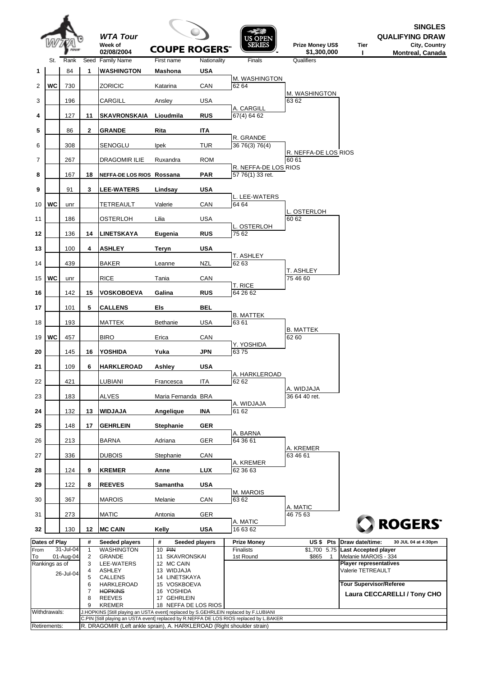|      |                |           |                | <b>WTA Tour</b>                                                                      |                                     |                | US OPEN                                                                                 |                                               |                                                    | <b>SINGLES</b><br><b>QUALIFYING DRAW</b> |
|------|----------------|-----------|----------------|--------------------------------------------------------------------------------------|-------------------------------------|----------------|-----------------------------------------------------------------------------------------|-----------------------------------------------|----------------------------------------------------|------------------------------------------|
|      |                |           |                | Week of<br>02/08/2004                                                                | <b>COUPE ROGERS"</b>                |                | <b>SERIES</b>                                                                           | Prize Money US\$<br>\$1,300,000               | Tier<br>п                                          | City, Country<br><b>Montreal, Canada</b> |
|      | St.            | Rank      |                | Seed Family Name                                                                     | First name                          | Nationality    | Finals                                                                                  | Qualifiers                                    |                                                    |                                          |
| 1    |                | 84        | 1              | <b>WASHINGTON</b>                                                                    | <b>Mashona</b>                      | <b>USA</b>     | M. WASHINGTON                                                                           |                                               |                                                    |                                          |
| 2    | <b>WC</b>      | 730       |                | ZORICIC                                                                              | Katarina                            | CAN            | 62 64                                                                                   | M. WASHINGTON                                 |                                                    |                                          |
| 3    |                | 196       |                | CARGILL                                                                              | Ansley                              | <b>USA</b>     | A. CARGILL                                                                              | 63 62                                         |                                                    |                                          |
| 4    |                | 127       | 11             | <b>SKAVRONSKAIA</b>                                                                  | Lioudmila                           | <b>RUS</b>     | 67(4) 64 62                                                                             |                                               |                                                    |                                          |
| 5    |                | 86        | $\mathbf{2}$   | <b>GRANDE</b>                                                                        | Rita                                | ITA            |                                                                                         |                                               |                                                    |                                          |
| 6    |                | 308       |                | SENOGLU                                                                              | <b>Ipek</b>                         | <b>TUR</b>     | R. GRANDE<br>36 76(3) 76(4)                                                             |                                               |                                                    |                                          |
| 7    |                | 267       |                | DRAGOMIR ILIE                                                                        | Ruxandra                            | <b>ROM</b>     |                                                                                         | R. NEFFA-DE LOS RIOS<br>60 61                 |                                                    |                                          |
| 8    |                | 167       | 18             | NEFFA-DE LOS RIOS Rossana                                                            |                                     | <b>PAR</b>     | R. NEFFA-DE LOS RIOS<br>57 76(1) 33 ret.                                                |                                               |                                                    |                                          |
| 9    |                | 91        | 3              | <b>LEE-WATERS</b>                                                                    | Lindsay                             | <b>USA</b>     |                                                                                         |                                               |                                                    |                                          |
| 10   | WC             | unr       |                | <b>TETREAULT</b>                                                                     | Valerie                             | CAN            | L. LEE-WATERS<br>64 64                                                                  |                                               |                                                    |                                          |
| 11   |                | 186       |                | OSTERLOH                                                                             | Lilia                               | <b>USA</b>     |                                                                                         | L. OSTERLOH<br>60 62                          |                                                    |                                          |
| 12   |                | 136       | 14             | <b>LINETSKAYA</b>                                                                    | Eugenia                             | <b>RUS</b>     | L. OSTERLOH<br>75 62                                                                    |                                               |                                                    |                                          |
| 13   |                | 100       | 4              | <b>ASHLEY</b>                                                                        | Teryn                               | <b>USA</b>     |                                                                                         |                                               |                                                    |                                          |
|      |                |           |                |                                                                                      |                                     |                | T. ASHLEY                                                                               |                                               |                                                    |                                          |
| 14   |                | 439       |                | <b>BAKER</b>                                                                         | Leanne                              | <b>NZL</b>     | 62 63                                                                                   | T. ASHLEY                                     |                                                    |                                          |
| 15   | WC             | unr       |                | <b>RICE</b>                                                                          | Tania                               | CAN            | T. RICE                                                                                 | 75 46 60                                      |                                                    |                                          |
| 16   |                | 142       | 15             | <b>VOSKOBOEVA</b>                                                                    | Galina                              | <b>RUS</b>     | 64 26 62                                                                                |                                               |                                                    |                                          |
| 17   |                | 101       | 5              | <b>CALLENS</b>                                                                       | Els                                 | <b>BEL</b>     | <b>B. MATTEK</b>                                                                        |                                               |                                                    |                                          |
| 18   |                | 193       |                | MATTEK                                                                               | Bethanie                            | <b>USA</b>     | 63 61                                                                                   |                                               |                                                    |                                          |
| 19   | <b>WC</b>      | 457       |                | <b>BIRO</b>                                                                          | Erica                               | CAN            |                                                                                         | B. MATTEK<br>62 60                            |                                                    |                                          |
| 20   |                | 145       | 16             | YOSHIDA                                                                              | Yuka                                | <b>JPN</b>     | Y. YOSHIDA<br>6375                                                                      |                                               |                                                    |                                          |
| 21   |                | 109       | 6              | <b>HARKLEROAD</b>                                                                    | Ashley                              | <b>USA</b>     |                                                                                         |                                               |                                                    |                                          |
| 22   |                | 421       |                | LUBIANI                                                                              | Francesca                           | ITA            | A. HARKLEROAD<br>62 62                                                                  |                                               |                                                    |                                          |
| 23   |                | 183       |                | <b>ALVES</b>                                                                         | Maria Fernanda BRA                  |                |                                                                                         | A. WIDJAJA<br>36 64 40 ret.                   |                                                    |                                          |
| 24   |                | 132       | 13             | <b>WIDJAJA</b>                                                                       | Angelique                           | INA            | A. WIDJAJA<br>61 62                                                                     |                                               |                                                    |                                          |
| 25   |                | 148       | 17             | <b>GEHRLEIN</b>                                                                      | <b>Stephanie</b>                    | <b>GER</b>     |                                                                                         |                                               |                                                    |                                          |
|      |                | 213       |                | <b>BARNA</b>                                                                         |                                     | GER            | A. BARNA<br>64 36 61                                                                    |                                               |                                                    |                                          |
| 26   |                |           |                |                                                                                      | Adriana                             |                |                                                                                         | A. KREMER                                     |                                                    |                                          |
| 27   |                | 336       |                | <b>DUBOIS</b>                                                                        | Stephanie                           | CAN            | A. KREMER                                                                               | 63 46 61                                      |                                                    |                                          |
| 28   |                | 124       | 9              | <b>KREMER</b>                                                                        | Anne                                | <b>LUX</b>     | 62 36 63                                                                                |                                               |                                                    |                                          |
| 29   |                | 122       | 8              | <b>REEVES</b>                                                                        | Samantha                            | <b>USA</b>     | M. MAROIS                                                                               |                                               |                                                    |                                          |
| 30   |                | 367       |                | <b>MAROIS</b>                                                                        | Melanie                             | CAN            | 63 62                                                                                   | A. MATIC                                      |                                                    |                                          |
| 31   |                | 273       |                | <b>MATIC</b>                                                                         | Antonia                             | GER            | A. MATIC                                                                                | 46 75 63                                      |                                                    |                                          |
| 32   |                | 130       | 12             | <b>MC CAIN</b>                                                                       | Kelly                               | <b>USA</b>     | 16 63 62                                                                                |                                               |                                                    | ROGERS <sup>®</sup>                      |
| From | Dates of Play  | 31-Jul-04 | #<br>1         | Seeded players<br><b>WASHINGTON</b>                                                  | #<br>10 PIN                         | Seeded players | <b>Prize Money</b><br>Finalists                                                         | US\$ Pts<br>\$1,700 5.75 Last Accepted player | Draw date/time:                                    | 30 JUL 04 at 4:30pm                      |
| To   |                | 01-Aug-04 | $\overline{2}$ | <b>GRANDE</b>                                                                        | 11 SKAVRONSKAI                      |                | 1st Round                                                                               | \$865<br>$\mathbf{1}$                         | Melanie MAROIS - 334                               |                                          |
|      | Rankings as of |           | 3<br>4         | LEE-WATERS<br><b>ASHLEY</b>                                                          | 12 MC CAIN<br>13 WIDJAJA            |                |                                                                                         |                                               | <b>Player representatives</b><br>Valerie TETREAULT |                                          |
|      |                | 26-Jul-04 | 5              | <b>CALLENS</b>                                                                       | 14 LINETSKAYA                       |                |                                                                                         |                                               |                                                    |                                          |
|      |                |           | 6<br>7         | HARKLEROAD<br><b>HOPKINS</b>                                                         | 15 VOSKBOEVA<br>16 YOSHIDA          |                |                                                                                         |                                               | <b>Tour Supervisor/Referee</b>                     | Laura CECCARELLI / Tony CHO              |
|      |                |           | 8<br>9         | <b>REEVES</b><br><b>KREMER</b>                                                       | 17 GEHRLEIN<br>18 NEFFA DE LOS RIOS |                |                                                                                         |                                               |                                                    |                                          |
|      | Withdrawals:   |           |                | J.HOPKINS [Still playing an USTA event] replaced by S.GEHRLEIN replaced by F.LUBIANI |                                     |                |                                                                                         |                                               |                                                    |                                          |
|      | Retirements:   |           |                | R. DRAGOMIR (Left ankle sprain), A. HARKLEROAD (Right shoulder strain)               |                                     |                | C.PIN [Still playing an USTA event] replaced by R.NEFFA DE LOS RIOS replaced by L.BAKER |                                               |                                                    |                                          |